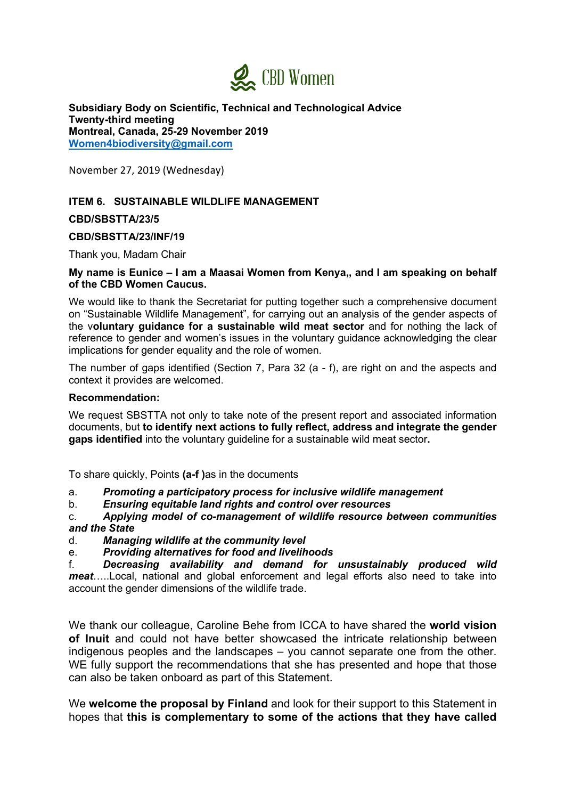

**Subsidiary Body on Scientific, Technical and Technological Advice Twenty-third meeting Montreal, Canada, 25-29 November 2019 Women4biodiversity@gmail.com**

November 27, 2019 (Wednesday)

# **ITEM 6. SUSTAINABLE WILDLIFE MANAGEMENT**

**CBD/SBSTTA/23/5**

## **CBD/SBSTTA/23/INF/19**

Thank you, Madam Chair

## **My name is Eunice – I am a Maasai Women from Kenya,, and I am speaking on behalf of the CBD Women Caucus.**

We would like to thank the Secretariat for putting together such a comprehensive document on "Sustainable Wildlife Management", for carrying out an analysis of the gender aspects of the v**oluntary guidance for a sustainable wild meat sector** and for nothing the lack of reference to gender and women's issues in the voluntary guidance acknowledging the clear implications for gender equality and the role of women.

The number of gaps identified (Section 7, Para 32 (a - f), are right on and the aspects and context it provides are welcomed.

#### **Recommendation:**

We request SBSTTA not only to take note of the present report and associated information documents, but **to identify next actions to fully reflect, address and integrate the gender gaps identified** into the voluntary guideline for a sustainable wild meat sector**.**

To share quickly, Points **(a-f )**as in the documents

- a. *Promoting a participatory process for inclusive wildlife management*
- b. *Ensuring equitable land rights and control over resources*

### c. *Applying model of co-management of wildlife resource between communities and the State*

- d. *Managing wildlife at the community level*
- e. *Providing alternatives for food and livelihoods*

f. *Decreasing availability and demand for unsustainably produced wild meat*…..Local, national and global enforcement and legal efforts also need to take into account the gender dimensions of the wildlife trade.

We thank our colleague, Caroline Behe from ICCA to have shared the **world vision of Inuit** and could not have better showcased the intricate relationship between indigenous peoples and the landscapes – you cannot separate one from the other. WE fully support the recommendations that she has presented and hope that those can also be taken onboard as part of this Statement.

We **welcome the proposal by Finland** and look for their support to this Statement in hopes that **this is complementary to some of the actions that they have called**